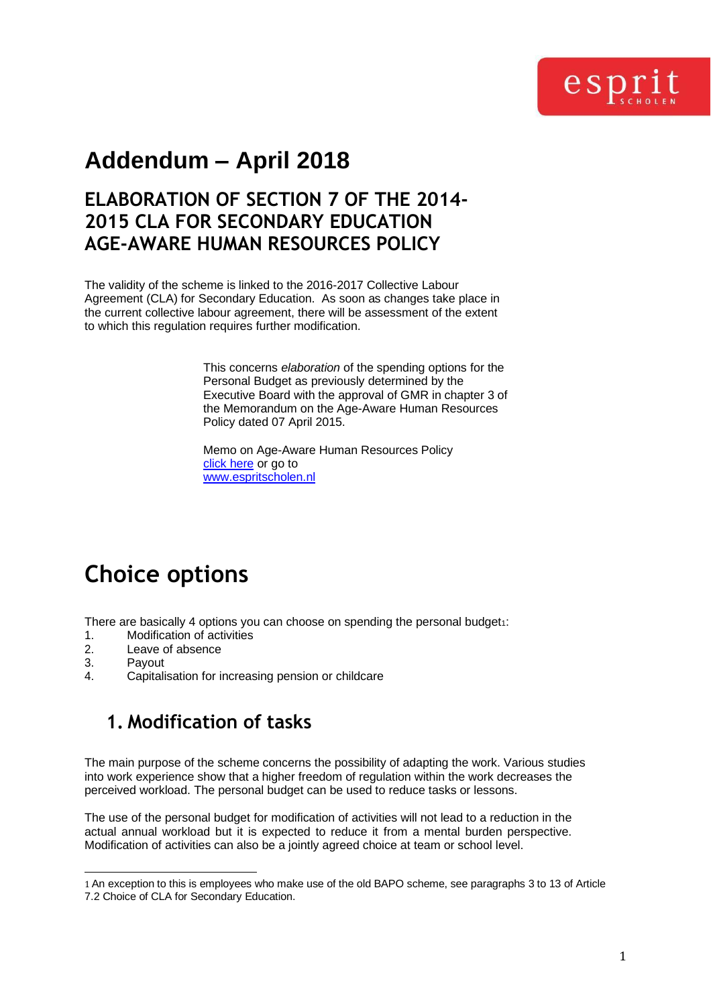

# **Addendum – April 2018**

### **ELABORATION OF SECTION 7 OF THE 2014- 2015 CLA FOR SECONDARY EDUCATION AGE-AWARE HUMAN RESOURCES POLICY**

The validity of the scheme is linked to the 2016-2017 Collective Labour Agreement (CLA) for Secondary Education. As soon as changes take place in the current collective labour agreement, there will be assessment of the extent to which this regulation requires further modification.

> This concerns *elaboration* of the spending options for the Personal Budget as previously determined by the Executive Board with the approval of GMR in chapter 3 of the Memorandum on the Age-Aware Human Resources Policy dated 07 April 2015.

Memo on Age-Aware Human Resources Policy [click here](https://www.espritscholen.nl/fileadmin/centraal-bureau/documenten/Arbeidsvoorwaarden/2015-06_Age_Aware_HRM_Policy.pdf) or go to [www.espritscholen.nl](http://www.espritscholen.nl/)

# **Choice options**

There are basically 4 options you can choose on spending the personal budget1:

- 1. Modification of activities
- 2. Leave of absence<br>3. Pavout
- Payout
- 4. Capitalisation for increasing pension or childcare

### **1. Modification of tasks**

The main purpose of the scheme concerns the possibility of adapting the work. Various studies into work experience show that a higher freedom of regulation within the work decreases the perceived workload. The personal budget can be used to reduce tasks or lessons.

The use of the personal budget for modification of activities will not lead to a reduction in the actual annual workload but it is expected to reduce it from a mental burden perspective. Modification of activities can also be a jointly agreed choice at team or school level.

<sup>1</sup> An exception to this is employees who make use of the old BAPO scheme, see paragraphs 3 to 13 of Article 7.2 Choice of CLA for Secondary Education.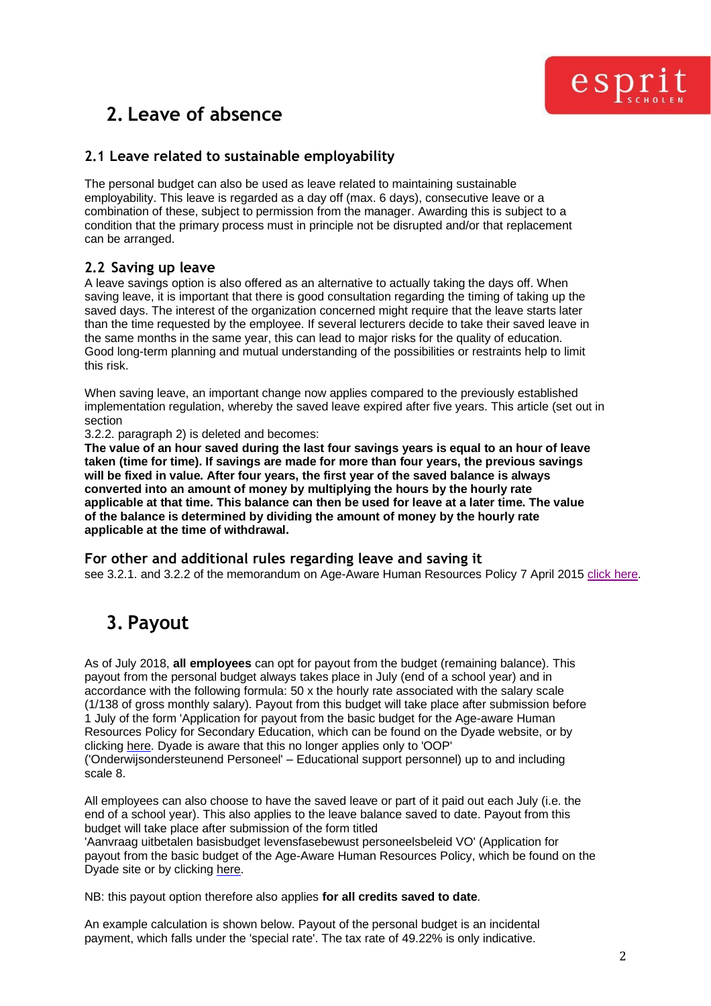

## **2. Leave of absence**

#### **2.1 Leave related to sustainable employability**

The personal budget can also be used as leave related to maintaining sustainable employability. This leave is regarded as a day off (max. 6 days), consecutive leave or a combination of these, subject to permission from the manager. Awarding this is subject to a condition that the primary process must in principle not be disrupted and/or that replacement can be arranged.

#### **2.2 Saving up leave**

A leave savings option is also offered as an alternative to actually taking the days off. When saving leave, it is important that there is good consultation regarding the timing of taking up the saved days. The interest of the organization concerned might require that the leave starts later than the time requested by the employee. If several lecturers decide to take their saved leave in the same months in the same year, this can lead to major risks for the quality of education. Good long-term planning and mutual understanding of the possibilities or restraints help to limit this risk.

When saving leave, an important change now applies compared to the previously established implementation regulation, whereby the saved leave expired after five years. This article (set out in section

3.2.2. paragraph 2) is deleted and becomes:

**The value of an hour saved during the last four savings years is equal to an hour of leave taken (time for time). If savings are made for more than four years, the previous savings will be fixed in value. After four years, the first year of the saved balance is always converted into an amount of money by multiplying the hours by the hourly rate applicable at that time. This balance can then be used for leave at a later time. The value of the balance is determined by dividing the amount of money by the hourly rate applicable at the time of withdrawal.**

**For other and additional rules regarding leave and saving it** see 3.2.1. and 3.2.2 of the memorandum on Age-Aware Human Resources Policy 7 April 201[5 click here.](https://www.espritscholen.nl/fileadmin/centraal-bureau/documenten/Arbeidsvoorwaarden/2015-06_Age_Aware_HRM_Policy.pdf)

## **3. Payout**

As of July 2018, **all employees** can opt for payout from the budget (remaining balance). This payout from the personal budget always takes place in July (end of a school year) and in accordance with the following formula: 50 x the hourly rate associated with the salary scale (1/138 of gross monthly salary). Payout from this budget will take place after submission before 1 July of the form 'Application for payout from the basic budget for the Age-aware Human Resources Policy for Secondary Education, which can be found on the Dyade website, or by clicking [here. D](http://www.dyade.nl/dyadedir/files/personeel/formulieren/Aanvraag%20payment%20basic%20budget%20life%20phase%20aware%20personnel%20policy%20VO.pdf)yade is aware that this no longer applies only to 'OOP' ('Onderwijsondersteunend Personeel' – Educational support personnel) up to and including scale 8.

All employees can also choose to have the saved leave or part of it paid out each July (i.e. the end of a school year). This also applies to the leave balance saved to date. Payout from this budget will take place after submission of the form titled

'Aanvraag uitbetalen basisbudget levensfasebewust personeelsbeleid VO' (Application for payout from the basic budget of the Age-Aware Human Resources Policy, which be found on the Dyade site or by clicking [here.](http://www.dyade.nl/dyadedir/files/personeel/formulieren/Aanvraag%20payment%20basic%20budget%20life%20phase%20aware%20personnel%20policy%20VO.pdf)

NB: this payout option therefore also applies **for all credits saved to date**.

An example calculation is shown below. Payout of the personal budget is an incidental payment, which falls under the 'special rate'. The tax rate of 49.22% is only indicative.